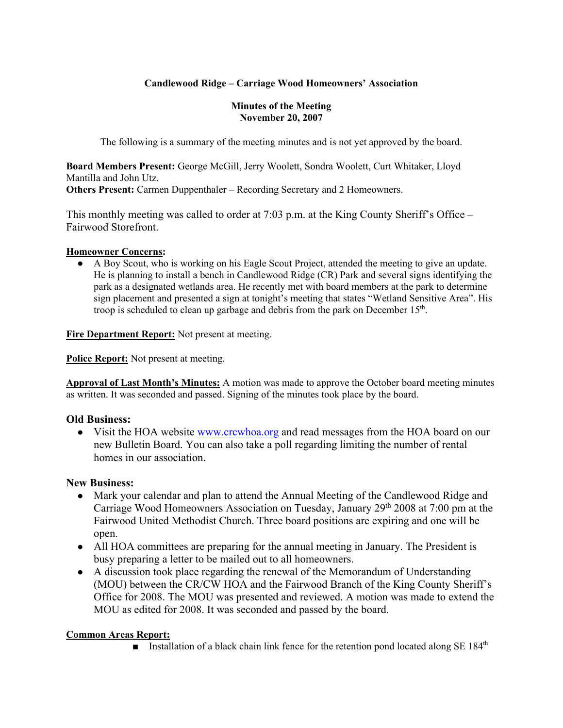# **Candlewood Ridge – Carriage Wood Homeowners' Association**

#### **Minutes of the Meeting November 20, 2007**

The following is a summary of the meeting minutes and is not yet approved by the board.

**Board Members Present:** George McGill, Jerry Woolett, Sondra Woolett, Curt Whitaker, Lloyd Mantilla and John Utz. **Others Present:** Carmen Duppenthaler – Recording Secretary and 2 Homeowners.

This monthly meeting was called to order at 7:03 p.m. at the King County Sheriff's Office – Fairwood Storefront.

#### **Homeowner Concerns:**

● A Boy Scout, who is working on his Eagle Scout Project, attended the meeting to give an update. He is planning to install a bench in Candlewood Ridge (CR) Park and several signs identifying the park as a designated wetlands area. He recently met with board members at the park to determine sign placement and presented a sign at tonight's meeting that states "Wetland Sensitive Area". His troop is scheduled to clean up garbage and debris from the park on December  $15<sup>th</sup>$ .

**Fire Department Report:** Not present at meeting.

**Police Report:** Not present at meeting.

**Approval of Last Month's Minutes:** A motion was made to approve the October board meeting minutes as written. It was seconded and passed. Signing of the minutes took place by the board.

## **Old Business:**

• Visit the HOA website www.crcwhoa.org and read messages from the HOA board on our new Bulletin Board. You can also take a poll regarding limiting the number of rental homes in our association.

## **New Business:**

- Mark your calendar and plan to attend the Annual Meeting of the Candlewood Ridge and Carriage Wood Homeowners Association on Tuesday, January 29th 2008 at 7:00 pm at the Fairwood United Methodist Church. Three board positions are expiring and one will be open.
- All HOA committees are preparing for the annual meeting in January. The President is busy preparing a letter to be mailed out to all homeowners.
- A discussion took place regarding the renewal of the Memorandum of Understanding (MOU) between the CR/CW HOA and the Fairwood Branch of the King County Sheriff's Office for 2008. The MOU was presented and reviewed. A motion was made to extend the MOU as edited for 2008. It was seconded and passed by the board.

## **Common Areas Report:**

**■** Installation of a black chain link fence for the retention pond located along SE  $184<sup>th</sup>$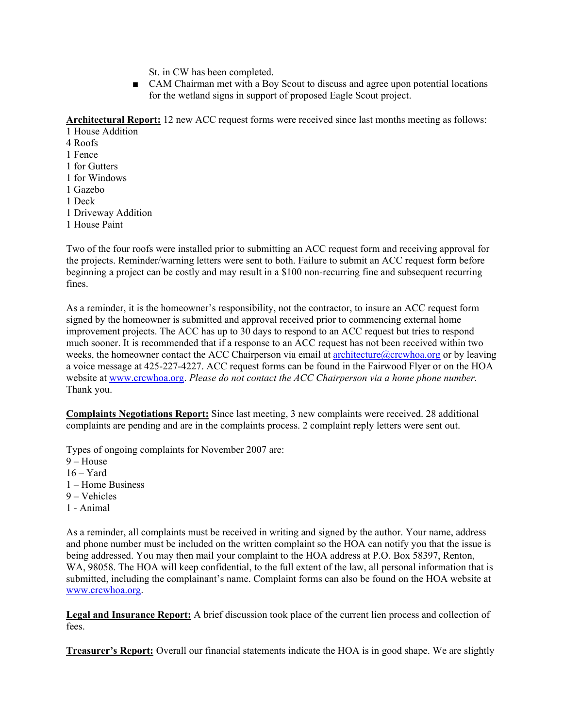St. in CW has been completed.

■ CAM Chairman met with a Boy Scout to discuss and agree upon potential locations for the wetland signs in support of proposed Eagle Scout project.

**Architectural Report:** 12 new ACC request forms were received since last months meeting as follows:

1 House Addition 4 Roofs 1 Fence 1 for Gutters 1 for Windows 1 Gazebo 1 Deck 1 Driveway Addition 1 House Paint

Two of the four roofs were installed prior to submitting an ACC request form and receiving approval for the projects. Reminder/warning letters were sent to both. Failure to submit an ACC request form before beginning a project can be costly and may result in a \$100 non-recurring fine and subsequent recurring fines.

As a reminder, it is the homeowner's responsibility, not the contractor, to insure an ACC request form signed by the homeowner is submitted and approval received prior to commencing external home improvement projects. The ACC has up to 30 days to respond to an ACC request but tries to respond much sooner. It is recommended that if a response to an ACC request has not been received within two weeks, the homeowner contact the ACC Chairperson via email at **architecture**@crcwhoa.org or by leaving a voice message at 425-227-4227. ACC request forms can be found in the Fairwood Flyer or on the HOA website at www.crcwhoa.org. *Please do not contact the ACC Chairperson via a home phone number.* Thank you.

**Complaints Negotiations Report:** Since last meeting, 3 new complaints were received. 28 additional complaints are pending and are in the complaints process. 2 complaint reply letters were sent out.

Types of ongoing complaints for November 2007 are:

- $9 House$
- $16 Yard$
- 1 Home Business
- 9 Vehicles
- 1 Animal

As a reminder, all complaints must be received in writing and signed by the author. Your name, address and phone number must be included on the written complaint so the HOA can notify you that the issue is being addressed. You may then mail your complaint to the HOA address at P.O. Box 58397, Renton, WA, 98058. The HOA will keep confidential, to the full extent of the law, all personal information that is submitted, including the complainant's name. Complaint forms can also be found on the HOA website at www.crcwhoa.org.

**Legal and Insurance Report:** A brief discussion took place of the current lien process and collection of fees.

**Treasurer's Report:** Overall our financial statements indicate the HOA is in good shape. We are slightly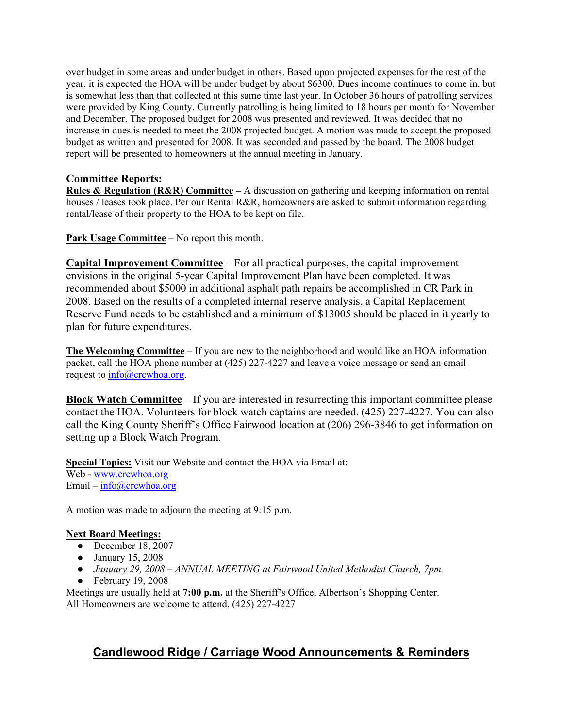over budget in some areas and under budget in others. Based upon projected expenses for the rest of the year, it is expected the HOA will be under budget by about \$6300. Dues income continues to come in, but is somewhat less than that collected at this same time last year. In October 36 hours of patrolling services were provided by King County. Currently patrolling is being limited to 18 hours per month for November and December. The proposed budget for 2008 was presented and reviewed. It was decided that no increase in dues is needed to meet the 2008 projected budget. A motion was made to accept the proposed budget as written and presented for 2008. It was seconded and passed by the board. The 2008 budget report will be presented to homeowners at the annual meeting in January.

## **Committee Reports:**

**Rules & Regulation (R&R) Committee –** A discussion on gathering and keeping information on rental houses / leases took place. Per our Rental R&R, homeowners are asked to submit information regarding rental/lease of their property to the HOA to be kept on file.

**Park Usage Committee** – No report this month.

**Capital Improvement Committee** – For all practical purposes, the capital improvement envisions in the original 5-year Capital Improvement Plan have been completed. It was recommended about \$5000 in additional asphalt path repairs be accomplished in CR Park in 2008. Based on the results of a completed internal reserve analysis, a Capital Replacement Reserve Fund needs to be established and a minimum of \$13005 should be placed in it yearly to plan for future expenditures.

**The Welcoming Committee** – If you are new to the neighborhood and would like an HOA information packet, call the HOA phone number at (425) 227-4227 and leave a voice message or send an email request to info@crcwhoa.org.

**Block Watch Committee** – If you are interested in resurrecting this important committee please contact the HOA. Volunteers for block watch captains are needed. (425) 227-4227. You can also call the King County Sheriff's Office Fairwood location at (206) 296-3846 to get information on setting up a Block Watch Program.

**Special Topics:** Visit our Website and contact the HOA via Email at: Web - www.crcwhoa.org Email –  $info@crcwhoa.org$ 

A motion was made to adjourn the meeting at 9:15 p.m.

## **Next Board Meetings:**

- December 18, 2007
- January 15, 2008
- *January 29, 2008 – ANNUAL MEETING at Fairwood United Methodist Church, 7pm*
- $\bullet$  February 19, 2008

Meetings are usually held at **7:00 p.m.** at the Sheriff's Office, Albertson's Shopping Center. All Homeowners are welcome to attend. (425) 227-4227

# **Candlewood Ridge / Carriage Wood Announcements & Reminders**